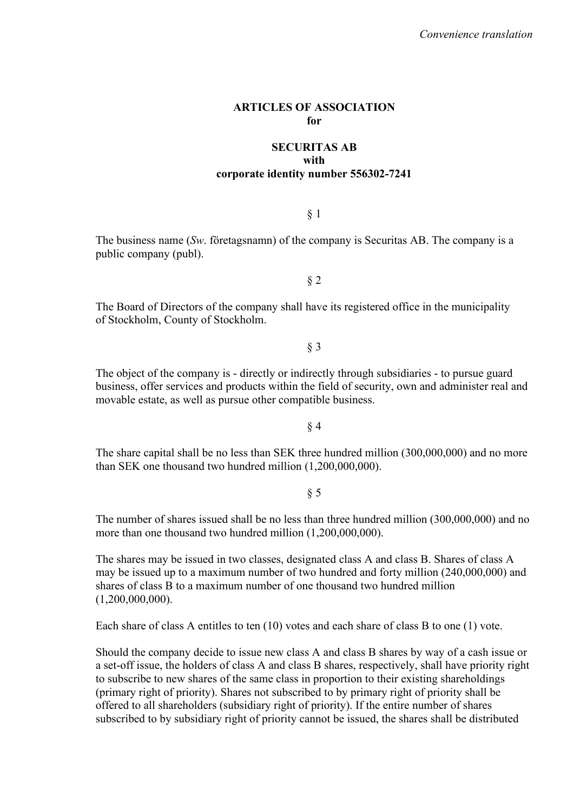#### **ARTICLES OF ASSOCIATION for**

### **SECURITAS AB with corporate identity number 556302-7241**

### § 1

The business name (*Sw*. företagsnamn) of the company is Securitas AB. The company is a public company (publ).

# § 2

The Board of Directors of the company shall have its registered office in the municipality of Stockholm, County of Stockholm.

## § 3

The object of the company is - directly or indirectly through subsidiaries - to pursue guard business, offer services and products within the field of security, own and administer real and movable estate, as well as pursue other compatible business.

#### § 4

The share capital shall be no less than SEK three hundred million (300,000,000) and no more than SEK one thousand two hundred million (1,200,000,000).

## § 5

The number of shares issued shall be no less than three hundred million (300,000,000) and no more than one thousand two hundred million  $(1,200,000,000)$ .

The shares may be issued in two classes, designated class A and class B. Shares of class A may be issued up to a maximum number of two hundred and forty million (240,000,000) and shares of class B to a maximum number of one thousand two hundred million  $(1,200,000,000)$ .

Each share of class A entitles to ten (10) votes and each share of class B to one (1) vote.

Should the company decide to issue new class A and class B shares by way of a cash issue or a set-off issue, the holders of class A and class B shares, respectively, shall have priority right to subscribe to new shares of the same class in proportion to their existing shareholdings (primary right of priority). Shares not subscribed to by primary right of priority shall be offered to all shareholders (subsidiary right of priority). If the entire number of shares subscribed to by subsidiary right of priority cannot be issued, the shares shall be distributed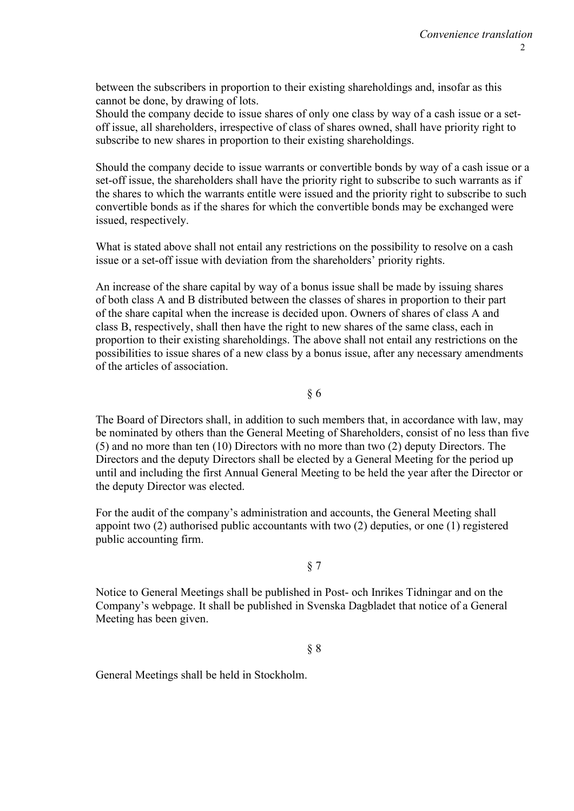between the subscribers in proportion to their existing shareholdings and, insofar as this cannot be done, by drawing of lots.

Should the company decide to issue shares of only one class by way of a cash issue or a setoff issue, all shareholders, irrespective of class of shares owned, shall have priority right to subscribe to new shares in proportion to their existing shareholdings.

Should the company decide to issue warrants or convertible bonds by way of a cash issue or a set-off issue, the shareholders shall have the priority right to subscribe to such warrants as if the shares to which the warrants entitle were issued and the priority right to subscribe to such convertible bonds as if the shares for which the convertible bonds may be exchanged were issued, respectively.

What is stated above shall not entail any restrictions on the possibility to resolve on a cash issue or a set-off issue with deviation from the shareholders' priority rights.

An increase of the share capital by way of a bonus issue shall be made by issuing shares of both class A and B distributed between the classes of shares in proportion to their part of the share capital when the increase is decided upon. Owners of shares of class A and class B, respectively, shall then have the right to new shares of the same class, each in proportion to their existing shareholdings. The above shall not entail any restrictions on the possibilities to issue shares of a new class by a bonus issue, after any necessary amendments of the articles of association.

§ 6

The Board of Directors shall, in addition to such members that, in accordance with law, may be nominated by others than the General Meeting of Shareholders, consist of no less than five (5) and no more than ten (10) Directors with no more than two (2) deputy Directors. The Directors and the deputy Directors shall be elected by a General Meeting for the period up until and including the first Annual General Meeting to be held the year after the Director or the deputy Director was elected.

For the audit of the company's administration and accounts, the General Meeting shall appoint two (2) authorised public accountants with two (2) deputies, or one (1) registered public accounting firm.

## § 7

Notice to General Meetings shall be published in Post- och Inrikes Tidningar and on the Company's webpage. It shall be published in Svenska Dagbladet that notice of a General Meeting has been given.

§ 8

General Meetings shall be held in Stockholm.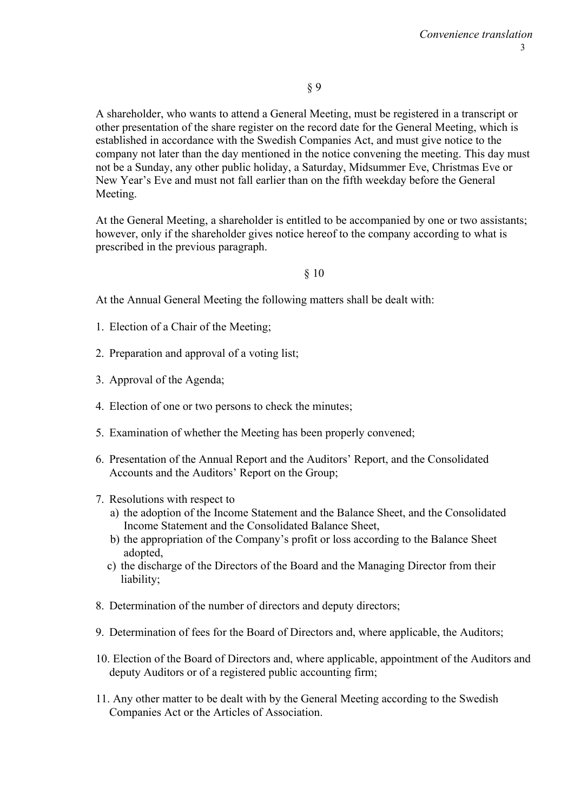A shareholder, who wants to attend a General Meeting, must be registered in a transcript or other presentation of the share register on the record date for the General Meeting, which is established in accordance with the Swedish Companies Act, and must give notice to the company not later than the day mentioned in the notice convening the meeting. This day must not be a Sunday, any other public holiday, a Saturday, Midsummer Eve, Christmas Eve or New Year's Eve and must not fall earlier than on the fifth weekday before the General Meeting.

At the General Meeting, a shareholder is entitled to be accompanied by one or two assistants; however, only if the shareholder gives notice hereof to the company according to what is prescribed in the previous paragraph.

# § 10

At the Annual General Meeting the following matters shall be dealt with:

- 1. Election of a Chair of the Meeting;
- 2. Preparation and approval of a voting list;
- 3. Approval of the Agenda;
- 4. Election of one or two persons to check the minutes;
- 5. Examination of whether the Meeting has been properly convened;
- 6. Presentation of the Annual Report and the Auditors' Report, and the Consolidated Accounts and the Auditors' Report on the Group;
- 7. Resolutions with respect to
	- a) the adoption of the Income Statement and the Balance Sheet, and the Consolidated Income Statement and the Consolidated Balance Sheet,
	- b) the appropriation of the Company's profit or loss according to the Balance Sheet adopted,
	- c) the discharge of the Directors of the Board and the Managing Director from their liability;
- 8. Determination of the number of directors and deputy directors;
- 9. Determination of fees for the Board of Directors and, where applicable, the Auditors;
- 10. Election of the Board of Directors and, where applicable, appointment of the Auditors and deputy Auditors or of a registered public accounting firm;
- 11. Any other matter to be dealt with by the General Meeting according to the Swedish Companies Act or the Articles of Association.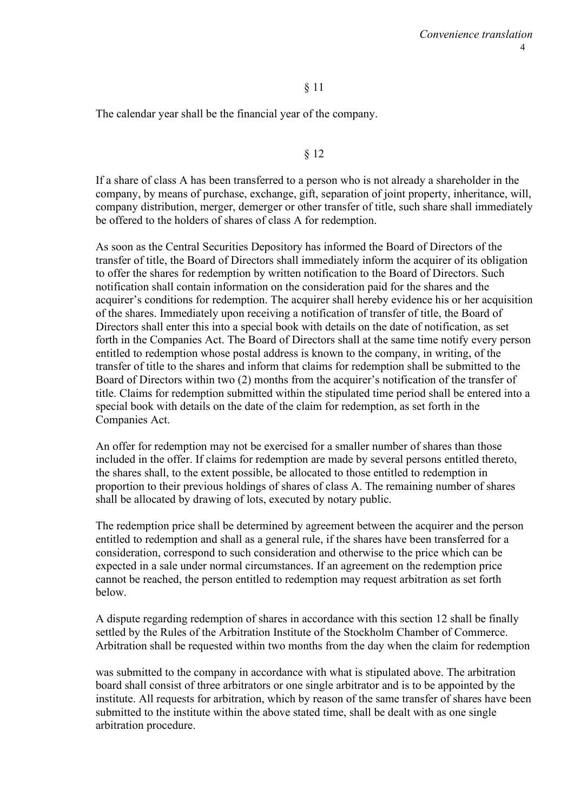## § 11

The calendar year shall be the financial year of the company.

#### § 12

If a share of class A has been transferred to a person who is not already a shareholder in the company, by means of purchase, exchange, gift, separation of joint property, inheritance, will, company distribution, merger, demerger or other transfer of title, such share shall immediately be offered to the holders of shares of class A for redemption.

As soon as the Central Securities Depository has informed the Board of Directors of the transfer of title, the Board of Directors shall immediately inform the acquirer of its obligation to offer the shares for redemption by written notification to the Board of Directors. Such notification shall contain information on the consideration paid for the shares and the acquirer's conditions for redemption. The acquirer shall hereby evidence his or her acquisition of the shares. Immediately upon receiving a notification of transfer of title, the Board of Directors shall enter this into a special book with details on the date of notification, as set forth in the Companies Act. The Board of Directors shall at the same time notify every person entitled to redemption whose postal address is known to the company, in writing, of the transfer of title to the shares and inform that claims for redemption shall be submitted to the Board of Directors within two (2) months from the acquirer's notification of the transfer of title. Claims for redemption submitted within the stipulated time period shall be entered into a special book with details on the date of the claim for redemption, as set forth in the Companies Act.

An offer for redemption may not be exercised for a smaller number of shares than those included in the offer. If claims for redemption are made by several persons entitled thereto, the shares shall, to the extent possible, be allocated to those entitled to redemption in proportion to their previous holdings of shares of class A. The remaining number of shares shall be allocated by drawing of lots, executed by notary public.

The redemption price shall be determined by agreement between the acquirer and the person entitled to redemption and shall as a general rule, if the shares have been transferred for a consideration, correspond to such consideration and otherwise to the price which can be expected in a sale under normal circumstances. If an agreement on the redemption price cannot be reached, the person entitled to redemption may request arbitration as set forth below.

A dispute regarding redemption of shares in accordance with this section 12 shall be finally settled by the Rules of the Arbitration Institute of the Stockholm Chamber of Commerce. Arbitration shall be requested within two months from the day when the claim for redemption

was submitted to the company in accordance with what is stipulated above. The arbitration board shall consist of three arbitrators or one single arbitrator and is to be appointed by the institute. All requests for arbitration, which by reason of the same transfer of shares have been submitted to the institute within the above stated time, shall be dealt with as one single arbitration procedure.